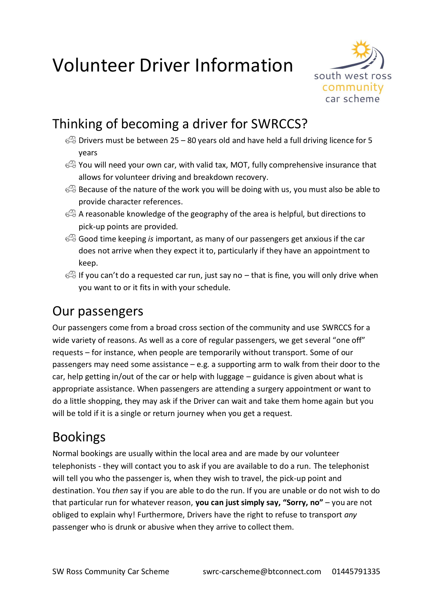# Volunteer Driver Information



# Thinking of becoming a driver for SWRCCS?

- $\mathbb{R}$  Drivers must be between 25 80 years old and have held a full driving licence for 5 years
- You will need your own car, with valid tax, MOT, fully comprehensive insurance that allows for volunteer driving and breakdown recovery.
- Because of the nature of the work you will be doing with us, you must also be able to provide character references.
- $\iff$  A reasonable knowledge of the geography of the area is helpful, but directions to pick-up points are provided.
- Good time keeping *is* important, as many of our passengers get anxious if the car does not arrive when they expect it to, particularly if they have an appointment to keep.
- $\mathbb{R}$  If you can't do a requested car run, just say no that is fine, you will only drive when you want to or it fits in with your schedule.

### Our passengers

Our passengers come from a broad cross section of the community and use SWRCCS for a wide variety of reasons. As well as a core of regular passengers, we get several "one off" requests – for instance, when people are temporarily without transport. Some of our passengers may need some assistance – e.g. a supporting arm to walk from their door to the car, help getting in/out of the car or help with luggage – guidance is given about what is appropriate assistance. When passengers are attending a surgery appointment or want to do a little shopping, they may ask if the Driver can wait and take them home again but you will be told if it is a single or return journey when you get a request.

### Bookings

Normal bookings are usually within the local area and are made by our volunteer telephonists - they will contact you to ask if you are available to do a run. The telephonist will tell you who the passenger is, when they wish to travel, the pick-up point and destination. You *then* say if you are able to do the run. If you are unable or do not wish to do that particular run for whatever reason, **you can just simply say, "Sorry, no"** – you are not obliged to explain why! Furthermore, Drivers have the right to refuse to transport *any* passenger who is drunk or abusive when they arrive to collect them.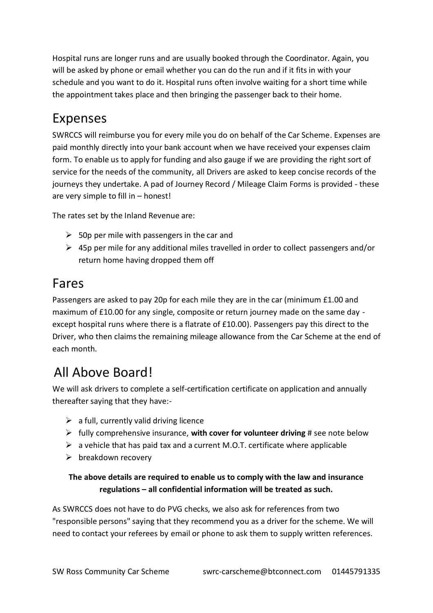Hospital runs are longer runs and are usually booked through the Coordinator. Again, you will be asked by phone or email whether you can do the run and if it fits in with your schedule and you want to do it. Hospital runs often involve waiting for a short time while the appointment takes place and then bringing the passenger back to their home.

## Expenses

SWRCCS will reimburse you for every mile you do on behalf of the Car Scheme. Expenses are paid monthly directly into your bank account when we have received your expenses claim form. To enable us to apply for funding and also gauge if we are providing the right sort of service for the needs of the community, all Drivers are asked to keep concise records of the journeys they undertake. A pad of Journey Record / Mileage Claim Forms is provided - these are very simple to fill in – honest!

The rates set by the Inland Revenue are:

- $\geq$  50p per mile with passengers in the car and
- ➢ 45p per mile for any additional miles travelled in order to collect passengers and/or return home having dropped them off

#### Fares

Passengers are asked to pay 20p for each mile they are in the car (minimum £1.00 and maximum of £10.00 for any single, composite or return journey made on the same day except hospital runs where there is a flatrate of £10.00). Passengers pay this direct to the Driver, who then claims the remaining mileage allowance from the Car Scheme at the end of each month.

### All Above Board!

We will ask drivers to complete a self-certification certificate on application and annually thereafter saying that they have:-

- $\triangleright$  a full, currently valid driving licence
- ➢ fully comprehensive insurance, **with cover for volunteer driving** # see note below
- $\triangleright$  a vehicle that has paid tax and a current M.O.T. certificate where applicable
- $\triangleright$  breakdown recovery

#### **The above details are required to enable us to comply with the law and insurance regulations – all confidential information will be treated as such.**

As SWRCCS does not have to do PVG checks, we also ask for references from two "responsible persons" saying that they recommend you as a driver for the scheme. We will need to contact your referees by email or phone to ask them to supply written references.